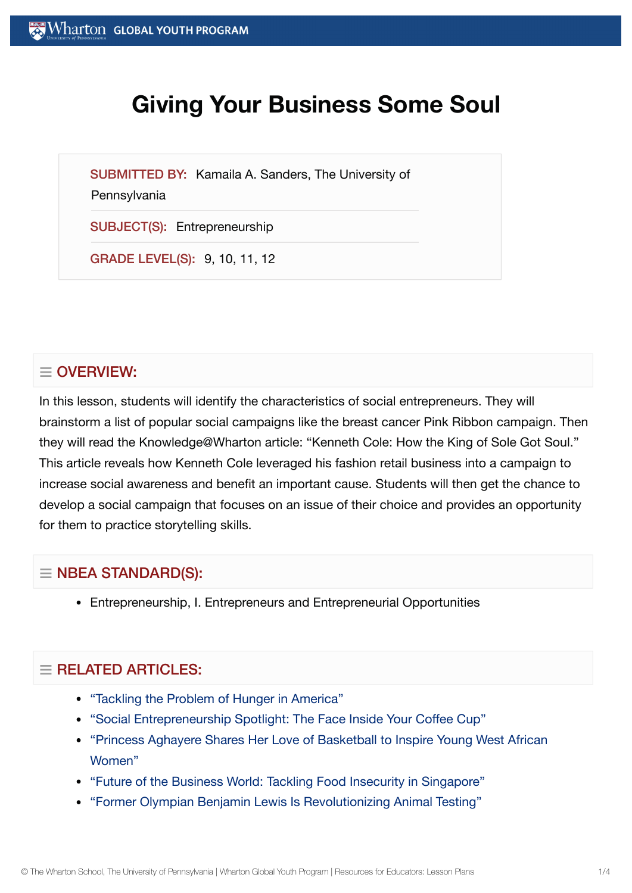# **Giving Your Business Some Soul**

SUBMITTED BY: Kamaila A. Sanders, The University of

#### **Pennsylvania**

SUBJECT(S): Entrepreneurship

GRADE LEVEL(S): 9, 10, 11, 12

# $\equiv$  OVERVIEW:

In this lesson, students will identify the characteristics of social entrepreneurs. They will brainstorm a list of popular social campaigns like the breast cancer Pink Ribbon campaign. Then they will read the Knowledge@Wharton article: "Kenneth Cole: How the King of Sole Got Soul." This article reveals how Kenneth Cole leveraged his fashion retail business into a campaign to increase social awareness and benefit an important cause. Students will then get the chance to develop a social campaign that focuses on an issue of their choice and provides an opportunity for them to practice storytelling skills.

# $\equiv$  NBEA STANDARD(S):

Entrepreneurship, I. Entrepreneurs and Entrepreneurial Opportunities

# $\equiv$  RELATED ARTICLES:

- ["Tackling](https://globalyouth.wharton.upenn.edu/articles/tackling-the-problem-of-hunger-in-america/) the Problem of Hunger in America"
- "Social [Entrepreneurship](https://globalyouth.wharton.upenn.edu/articles/social-entrepreneurship-spotlight-the-face-inside-your-coffee-cup/) Spotlight: The Face Inside Your Coffee Cup"
- ["Princess Aghayere](https://globalyouth.wharton.upenn.edu/articles/princess-aghayere-shares-love-basketball-inspire-young-west-african-women/) Shares Her Love of Basketball to Inspire Young West African Women"
- "Future of the [Business World:](https://globalyouth.wharton.upenn.edu/articles/tackling-food-insecurity-in-singapore/) Tackling Food Insecurity in Singapore"
- "Former Olympian Benjamin Lewis Is [Revolutionizing](https://globalyouth.wharton.upenn.edu/articles/former-olympian-benjamin-lewis-revolutionizes-animal-testing/) Animal Testing"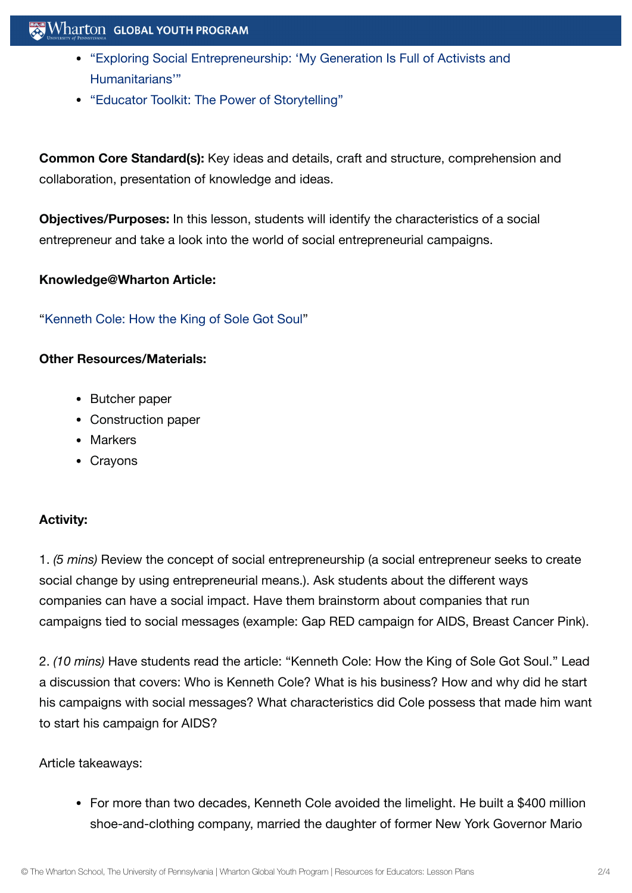## $\mathbf{W}$  Wharton Global youth program

- "Exploring Social [Entrepreneurship:](https://globalyouth.wharton.upenn.edu/articles/power-social-entrepreneurship/) 'My Generation Is Full of Activists and Humanitarians'"
- "Educator Toolkit: The Power of [Storytelling"](https://globalyouth.wharton.upenn.edu/articles/educator-toolkit-power-storytelling/)

**Common Core Standard(s):** Key ideas and details, craft and structure, comprehension and collaboration, presentation of knowledge and ideas.

**Objectives/Purposes:** In this lesson, students will identify the characteristics of a social entrepreneur and take a look into the world of social entrepreneurial campaigns.

#### **Knowledge@Wharton Article:**

["Kenneth](http://knowledge.wharton.upenn.edu/article.cfm?articleid=918) Cole: How the King of Sole Got Soul"

#### **Other Resources/Materials:**

- Butcher paper
- Construction paper
- Markers
- Crayons

## **Activity:**

1. *(5 mins)* Review the concept of social entrepreneurship (a social entrepreneur seeks to create social change by using entrepreneurial means.). Ask students about the different ways companies can have a social impact. Have them brainstorm about companies that run campaigns tied to social messages (example: Gap RED campaign for AIDS, Breast Cancer Pink).

2. *(10 mins)* Have students read the article: "Kenneth Cole: How the King of Sole Got Soul." Lead a discussion that covers: Who is Kenneth Cole? What is his business? How and why did he start his campaigns with social messages? What characteristics did Cole possess that made him want to start his campaign for AIDS?

#### Article takeaways:

• For more than two decades, Kenneth Cole avoided the limelight. He built a \$400 million shoe-and-clothing company, married the daughter of former New York Governor Mario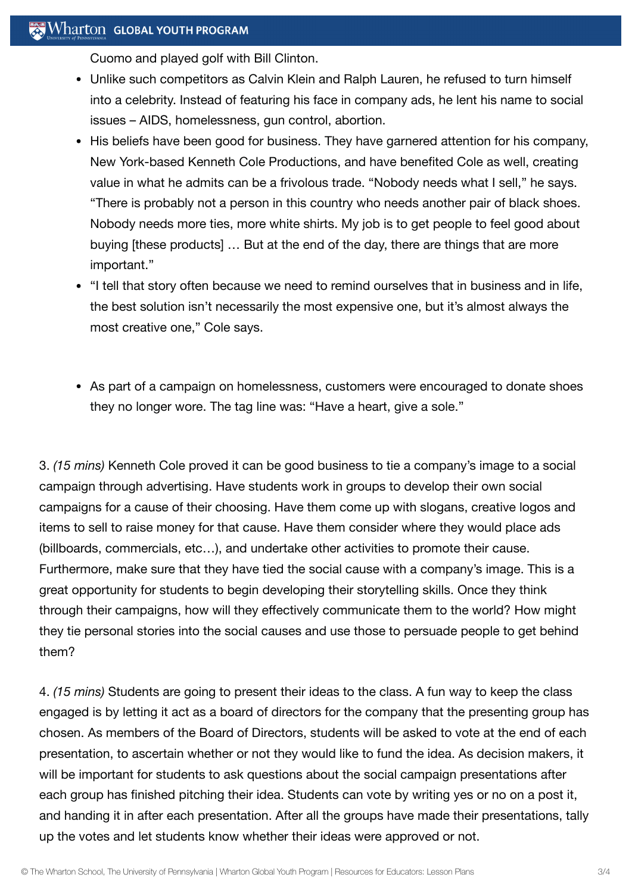## $\mathbb{R}$  Wharton Global Youth Program

Cuomo and played golf with Bill Clinton.

- Unlike such competitors as Calvin Klein and Ralph Lauren, he refused to turn himself into a celebrity. Instead of featuring his face in company ads, he lent his name to social issues – AIDS, homelessness, gun control, abortion.
- His beliefs have been good for business. They have garnered attention for his company, New York-based Kenneth Cole Productions, and have benefited Cole as well, creating value in what he admits can be a frivolous trade. "Nobody needs what I sell," he says. "There is probably not a person in this country who needs another pair of black shoes. Nobody needs more ties, more white shirts. My job is to get people to feel good about buying [these products] … But at the end of the day, there are things that are more important."
- "I tell that story often because we need to remind ourselves that in business and in life, the best solution isn't necessarily the most expensive one, but it's almost always the most creative one," Cole says.
- As part of a campaign on homelessness, customers were encouraged to donate shoes they no longer wore. The tag line was: "Have a heart, give a sole."

3. *(15 mins)* Kenneth Cole proved it can be good business to tie a company's image to a social campaign through advertising. Have students work in groups to develop their own social campaigns for a cause of their choosing. Have them come up with slogans, creative logos and items to sell to raise money for that cause. Have them consider where they would place ads (billboards, commercials, etc…), and undertake other activities to promote their cause. Furthermore, make sure that they have tied the social cause with a company's image. This is a great opportunity for students to begin developing their storytelling skills. Once they think through their campaigns, how will they effectively communicate them to the world? How might they tie personal stories into the social causes and use those to persuade people to get behind them?

4. *(15 mins)* Students are going to present their ideas to the class. A fun way to keep the class engaged is by letting it act as a board of directors for the company that the presenting group has chosen. As members of the Board of Directors, students will be asked to vote at the end of each presentation, to ascertain whether or not they would like to fund the idea. As decision makers, it will be important for students to ask questions about the social campaign presentations after each group has finished pitching their idea. Students can vote by writing yes or no on a post it, and handing it in after each presentation. After all the groups have made their presentations, tally up the votes and let students know whether their ideas were approved or not.